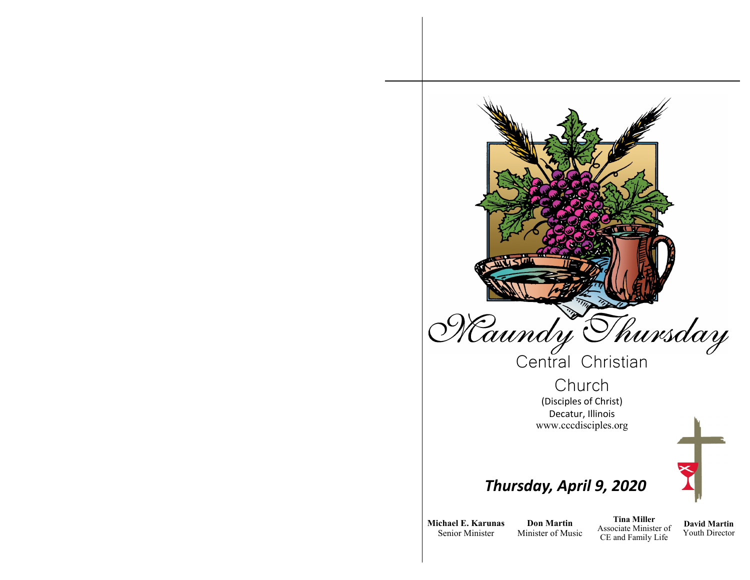